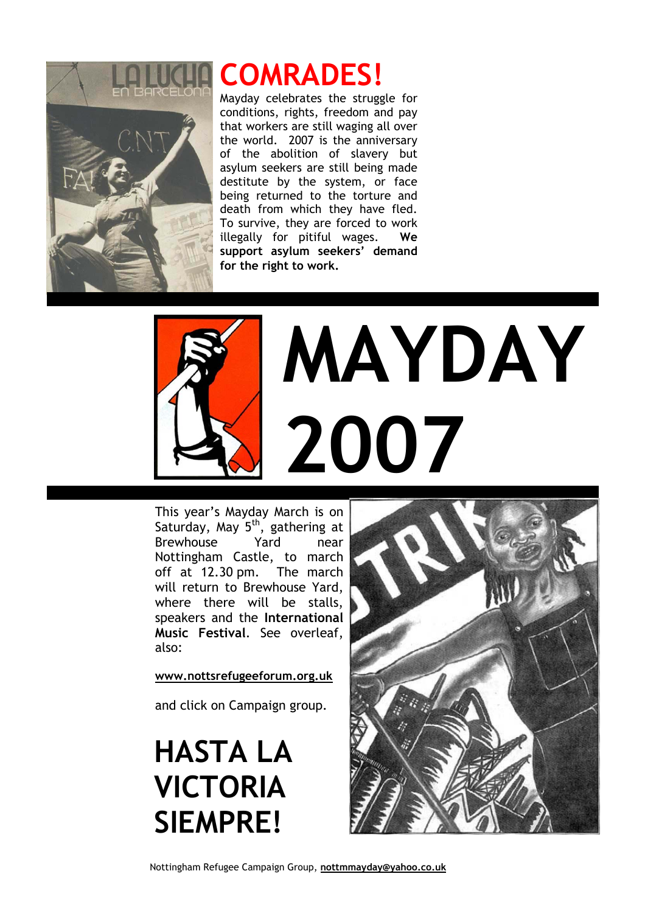

## **COMRADES!**

Mayday celebrates the struggle for conditions, rights, freedom and pay that workers are still waging all over the world. 2007 is the anniversary of the abolition of slavery but asylum seekers are still being made destitute by the system, or face being returned to the torture and death from which they have fled. To survive, they are forced to work illegally for pitiful wages. **We support asylum seekers' demand for the right to work.**



## **MAYDAY 2007**

This year's Mayday March is on Saturday, May 5<sup>th</sup>, gathering at Brewhouse Yard near Nottingham Castle, to march off at 12.30 pm. The march will return to Brewhouse Yard, where there will be stalls, speakers and the **International Music Festival**. See overleaf, also:

**[www.nottsrefugeeforum.org.uk](http://www.nottsrefugeeforum.org.uk/)**

and click on Campaign group.

**HASTA LA VICTORIA SIEMPRE!**